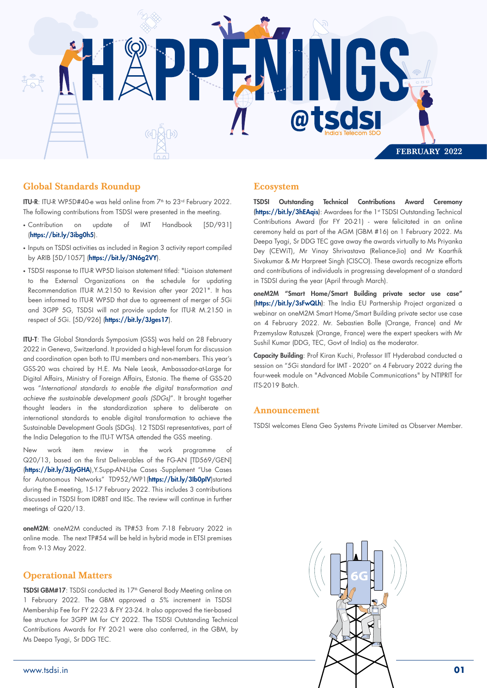

## Global Standards Roundup

ITU-R: ITU-R WP5D#40-e was held online from 7<sup>th</sup> to 23<sup>rd</sup> February 2022. The following contributions from TSDSI were presented in the meeting.

- Contribution on update of IMT Handbook [5D/931] (https://bit.ly/3ibg0h5).
- Inputs on TSDSI activities as included in Region 3 activity report compiled by ARIB [5D/1057] (https://bit.ly/3N6g2VY).
- TSDSI response to ITU-R WP5D liaison statement titled: "Liaison statement to the External Organizations on the schedule for updating Recommendation ITU-R M.2150 to Revision after year 2021". It has been informed to ITU-R WP5D that due to agreement of merger of 5Gi and 3GPP 5G, TSDSI will not provide update for ITU-R M.2150 in respect of 5Gi. [5D/926] (https://bit.ly/3Jges17).

ITU-T: The Global Standards Symposium (GSS) was held on 28 February 2022 in Geneva, Switzerland. It provided a high-level forum for discussion and coordination open both to ITU members and non-members. This year's GSS-20 was chaired by H.E. Ms Nele Leosk, Ambassador-at-Large for Digital Affairs, Ministry of Foreign Affairs, Estonia. The theme of GSS-20 was "*International standards to enable the digital transformation and achieve the sustainable development goals (SDGs)*". It brought together thought leaders in the standardization sphere to deliberate on international standards to enable digital transformation to achieve the Sustainable Development Goals (SDGs). 12 TSDSI representatives, part of the India Delegation to the ITU-T WTSA attended the GSS meeting.

New work item review in the work programme of Q20/13, based on the first Deliverables of the FG-AN [TD569/GEN] (https://bit.ly/3JjyGHA), Y.Supp-AN-Use Cases -Supplement "Use Cases for Autonomous Networks" TD952/WP1(https://bit.ly/3Ib0pIV)started during the E-meeting, 15-17 February 2022. This includes 3 contributions discussed in TSDSI from IDRBT and IISc. The review will continue in further meetings of Q20/13.

oneM2M: oneM2M conducted its TP#53 from 7-18 February 2022 in online mode. The next TP#54 will be held in hybrid mode in ETSI premises from 9-13 May 2022.

### Operational Matters

TSDSI GBM#17: TSDSI conducted its 17<sup>th</sup> General Body Meeting online on 1 February 2022. The GBM approved a 5% increment in TSDSI Membership Fee for FY 22-23 & FY 23-24. It also approved the tier-based fee structure for 3GPP IM for CY 2022. The TSDSI Outstanding Technical Contributions Awards for FY 20-21 were also conferred, in the GBM, by Ms Deepa Tyagi, Sr DDG TEC.

## Ecosystem

TSDSI Outstanding Technical Contributions Award Ceremony (https://bit.ly/3hEAqis): Awardees for the 1st TSDSI Outstanding Technical Contributions Award (for FY 20-21) - were felicitated in an online ceremony held as part of the AGM (GBM #16) on 1 February 2022. Ms Deepa Tyagi, Sr DDG TEC gave away the awards virtually to Ms Priyanka Dey (CEWiT), Mr Vinay Shrivastava (Reliance-Jio) and Mr Kaarthik Sivakumar & Mr Harpreet Singh (CISCO). These awards recognize efforts and contributions of individuals in progressing development of a standard in TSDSI during the year (April through March).

oneM2M "Smart Home/Smart Building private sector use case" (https://bit.ly/3sFwQLh): The India EU Partnership Project organized a webinar on oneM2M Smart Home/Smart Building private sector use case on 4 February 2022. Mr. Sebastien Bolle (Orange, France) and Mr Przemyslaw Ratuszek (Orange, France) were the expert speakers with Mr Sushil Kumar (DDG, TEC, Govt of India) as the moderator.

Capacity Building: Prof Kiran Kuchi, Professor IIT Hyderabad conducted a session on "5Gi standard for IMT - 2020" on 4 February 2022 during the four-week module on "Advanced Mobile Communications" by NTIPRIT for ITS-2019 Batch.

#### Announcement

TSDSI welcomes Elena Geo Systems Private Limited as Observer Member.